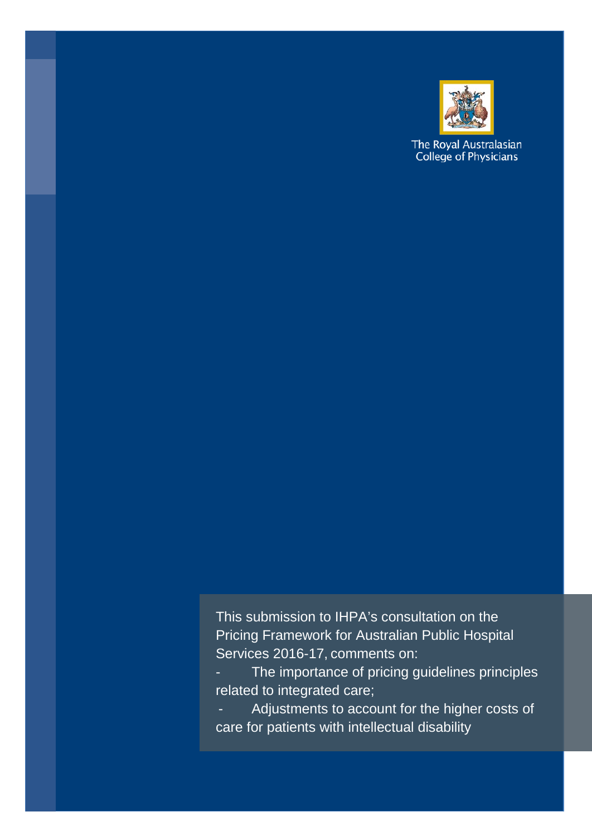

The Royal Australasian College of Physicians

This submission to IHPA's consultation on the Pricing Framework for Australian Public Hospital Services 2016-17, comments on:

The importance of pricing guidelines principles related to integrated care;

Adjustments to account for the higher costs of care for patients with intellectual disability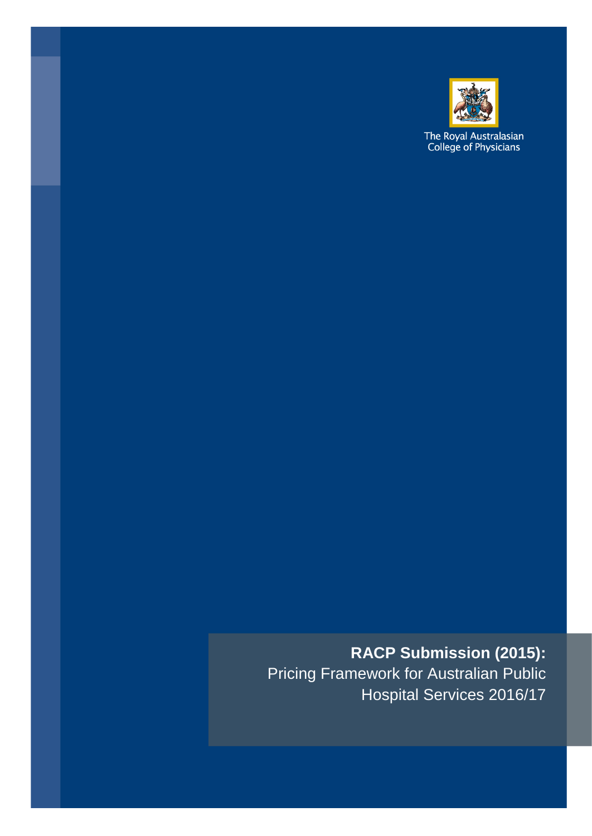

The Royal Australasian<br>College of Physicians

# **RACP Submission (2015):** Pricing Framework for Australian Public

Hospital Services 2016/17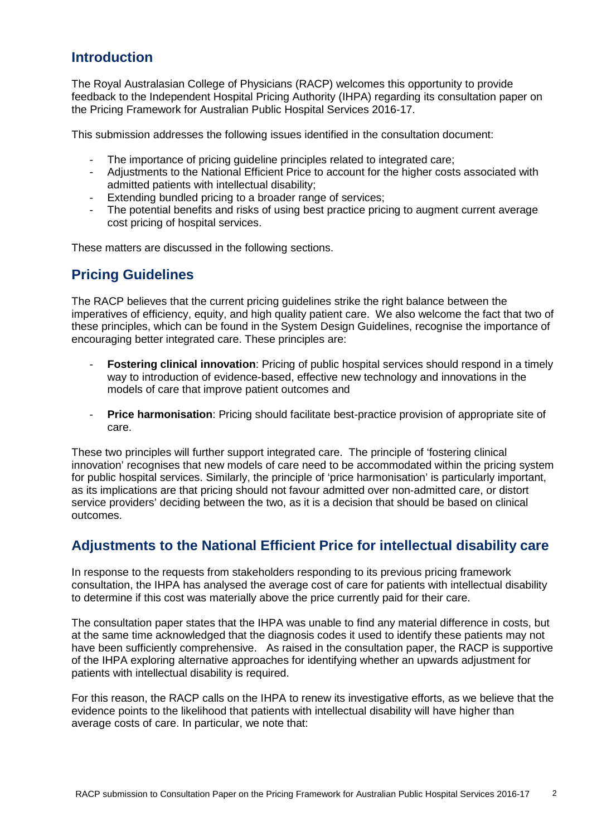#### **Introduction**

The Royal Australasian College of Physicians (RACP) welcomes this opportunity to provide feedback to the Independent Hospital Pricing Authority (IHPA) regarding its consultation paper on the Pricing Framework for Australian Public Hospital Services 2016-17.

This submission addresses the following issues identified in the consultation document:

- The importance of pricing guideline principles related to integrated care;<br>- Adjustments to the National Efficient Price to account for the bigher costs
- Adjustments to the National Efficient Price to account for the higher costs associated with admitted patients with intellectual disability;
- Extending bundled pricing to a broader range of services;
- The potential benefits and risks of using best practice pricing to augment current average cost pricing of hospital services.

These matters are discussed in the following sections.

#### **Pricing Guidelines**

The RACP believes that the current pricing guidelines strike the right balance between the imperatives of efficiency, equity, and high quality patient care. We also welcome the fact that two of these principles, which can be found in the System Design Guidelines, recognise the importance of encouraging better integrated care. These principles are:

- **Fostering clinical innovation**: Pricing of public hospital services should respond in a timely way to introduction of evidence-based, effective new technology and innovations in the models of care that improve patient outcomes and
- **Price harmonisation**: Pricing should facilitate best-practice provision of appropriate site of care.

These two principles will further support integrated care. The principle of 'fostering clinical innovation' recognises that new models of care need to be accommodated within the pricing system for public hospital services. Similarly, the principle of 'price harmonisation' is particularly important, as its implications are that pricing should not favour admitted over non-admitted care, or distort service providers' deciding between the two, as it is a decision that should be based on clinical outcomes.

#### **Adjustments to the National Efficient Price for intellectual disability care**

In response to the requests from stakeholders responding to its previous pricing framework consultation, the IHPA has analysed the average cost of care for patients with intellectual disability to determine if this cost was materially above the price currently paid for their care.

The consultation paper states that the IHPA was unable to find any material difference in costs, but at the same time acknowledged that the diagnosis codes it used to identify these patients may not have been sufficiently comprehensive. As raised in the consultation paper, the RACP is supportive of the IHPA exploring alternative approaches for identifying whether an upwards adjustment for patients with intellectual disability is required.

For this reason, the RACP calls on the IHPA to renew its investigative efforts, as we believe that the evidence points to the likelihood that patients with intellectual disability will have higher than average costs of care. In particular, we note that: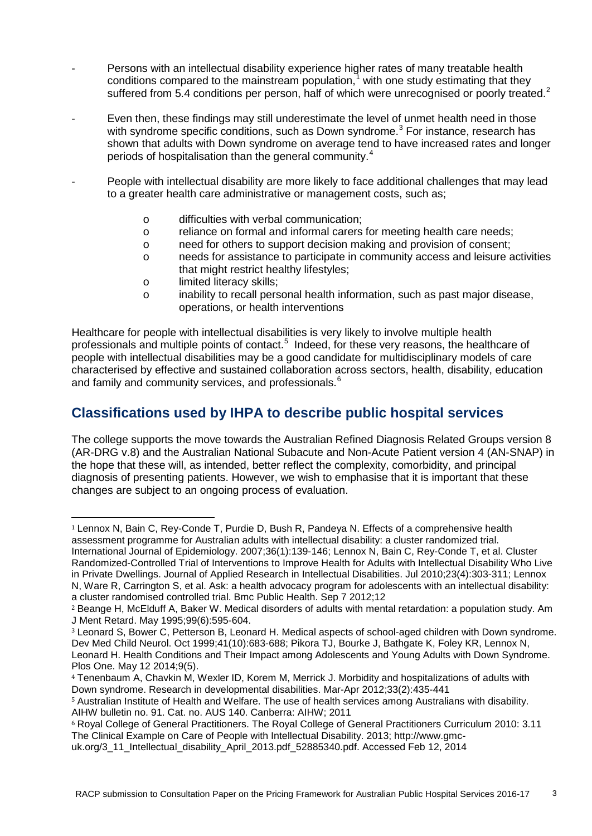- Persons with an intellectual disability experience higher rates of many treatable health conditions compared to the mainstream population, [1](#page-3-0) with one study estimating that they suffered from 5.4 conditions per person, half of which were unrecognised or poorly treated.<sup>[2](#page-3-1)</sup>
- Even then, these findings may still underestimate the level of unmet health need in those with syndrome specific conditions, such as Down syndrome.<sup>[3](#page-3-2)</sup> For instance, research has shown that adults with Down syndrome on average tend to have increased rates and longer periods of hospitalisation than the general community.<sup>[4](#page-3-3)</sup>
- People with intellectual disability are more likely to face additional challenges that may lead to a greater health care administrative or management costs, such as;
	- o difficulties with verbal communication;
	- o reliance on formal and informal carers for meeting health care needs;
	- o need for others to support decision making and provision of consent;
	- o needs for assistance to participate in community access and leisure activities that might restrict healthy lifestyles;
	- o limited literacy skills;
	- o inability to recall personal health information, such as past major disease, operations, or health interventions

Healthcare for people with intellectual disabilities is very likely to involve multiple health professionals and multiple points of contact.<sup>[5](#page-3-4)</sup> Indeed, for these very reasons, the healthcare of people with intellectual disabilities may be a good candidate for multidisciplinary models of care characterised by effective and sustained collaboration across sectors, health, disability, education and family and community services, and professionals.<sup>[6](#page-3-5)</sup>

#### **Classifications used by IHPA to describe public hospital services**

The college supports the move towards the Australian Refined Diagnosis Related Groups version 8 (AR-DRG v.8) and the Australian National Subacute and Non-Acute Patient version 4 (AN-SNAP) in the hope that these will, as intended, better reflect the complexity, comorbidity, and principal diagnosis of presenting patients. However, we wish to emphasise that it is important that these changes are subject to an ongoing process of evaluation.

<span id="page-3-0"></span><sup>1</sup> Lennox N, Bain C, Rey-Conde T, Purdie D, Bush R, Pandeya N. Effects of a comprehensive health assessment programme for Australian adults with intellectual disability: a cluster randomized trial. International Journal of Epidemiology. 2007;36(1):139-146; Lennox N, Bain C, Rey-Conde T, et al. Cluster Randomized-Controlled Trial of Interventions to Improve Health for Adults with Intellectual Disability Who Live in Private Dwellings. Journal of Applied Research in Intellectual Disabilities. Jul 2010;23(4):303-311; Lennox N, Ware R, Carrington S, et al. Ask: a health advocacy program for adolescents with an intellectual disability: a cluster randomised controlled trial. Bmc Public Health. Sep 7 2012;12 i,

<span id="page-3-1"></span><sup>2</sup> Beange H, McElduff A, Baker W. Medical disorders of adults with mental retardation: a population study. Am J Ment Retard. May 1995;99(6):595-604.

<span id="page-3-2"></span><sup>3</sup> Leonard S, Bower C, Petterson B, Leonard H. Medical aspects of school-aged children with Down syndrome. Dev Med Child Neurol. Oct 1999;41(10):683-688; Pikora TJ, Bourke J, Bathgate K, Foley KR, Lennox N, Leonard H. Health Conditions and Their Impact among Adolescents and Young Adults with Down Syndrome. Plos One. May 12 2014;9(5).

<span id="page-3-3"></span><sup>4</sup> Tenenbaum A, Chavkin M, Wexler ID, Korem M, Merrick J. Morbidity and hospitalizations of adults with Down syndrome. Research in developmental disabilities. Mar-Apr 2012;33(2):435-441

<span id="page-3-4"></span><sup>5</sup> Australian Institute of Health and Welfare. The use of health services among Australians with disability. AIHW bulletin no. 91. Cat. no. AUS 140. Canberra: AIHW; 2011

<span id="page-3-5"></span><sup>6</sup> Royal College of General Practitioners. The Royal College of General Practitioners Curriculum 2010: 3.11 The Clinical Example on Care of People with Intellectual Disability. 2013; http://www.gmc-

uk.org/3\_11\_Intellectual\_disability\_April\_2013.pdf\_52885340.pdf. Accessed Feb 12, 2014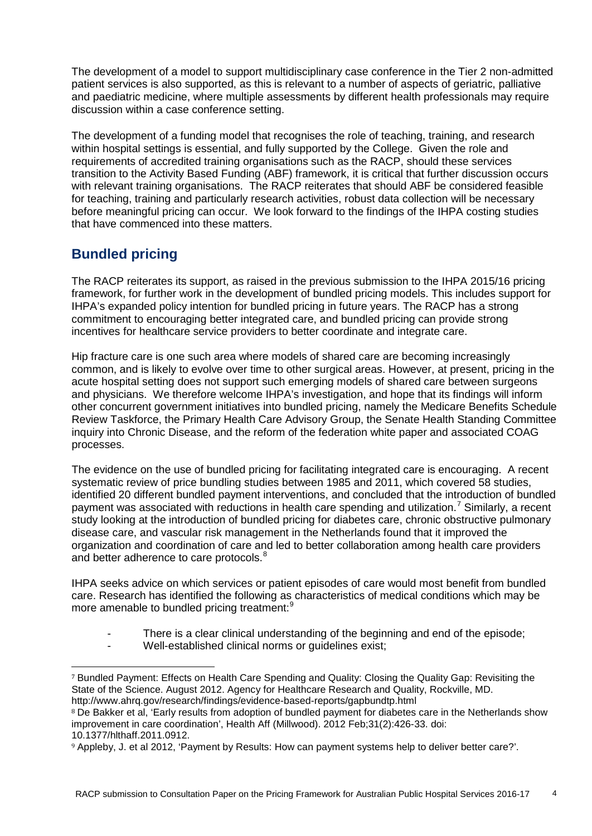The development of a model to support multidisciplinary case conference in the Tier 2 non-admitted patient services is also supported, as this is relevant to a number of aspects of geriatric, palliative and paediatric medicine, where multiple assessments by different health professionals may require discussion within a case conference setting.

The development of a funding model that recognises the role of teaching, training, and research within hospital settings is essential, and fully supported by the College. Given the role and requirements of accredited training organisations such as the RACP, should these services transition to the Activity Based Funding (ABF) framework, it is critical that further discussion occurs with relevant training organisations. The RACP reiterates that should ABF be considered feasible for teaching, training and particularly research activities, robust data collection will be necessary before meaningful pricing can occur. We look forward to the findings of the IHPA costing studies that have commenced into these matters.

#### **Bundled pricing**

The RACP reiterates its support, as raised in the previous submission to the IHPA 2015/16 pricing framework, for further work in the development of bundled pricing models. This includes support for IHPA's expanded policy intention for bundled pricing in future years. The RACP has a strong commitment to encouraging better integrated care, and bundled pricing can provide strong incentives for healthcare service providers to better coordinate and integrate care.

Hip fracture care is one such area where models of shared care are becoming increasingly common, and is likely to evolve over time to other surgical areas. However, at present, pricing in the acute hospital setting does not support such emerging models of shared care between surgeons and physicians. We therefore welcome IHPA's investigation, and hope that its findings will inform other concurrent government initiatives into bundled pricing, namely the Medicare Benefits Schedule Review Taskforce, the Primary Health Care Advisory Group, the Senate Health Standing Committee inquiry into Chronic Disease, and the reform of the federation white paper and associated COAG processes.

The evidence on the use of bundled pricing for facilitating integrated care is encouraging. A recent systematic review of price bundling studies between 1985 and 2011, which covered 58 studies, identified 20 different bundled payment interventions, and concluded that the introduction of bundled payment was associated with reductions in health care spending and utilization.<sup>[7](#page-4-0)</sup> Similarly, a recent study looking at the introduction of bundled pricing for diabetes care, chronic obstructive pulmonary disease care, and vascular risk management in the Netherlands found that it improved the organization and coordination of care and led to better collaboration among health care providers and better adherence to care protocols.<sup>[8](#page-4-1)</sup>

IHPA seeks advice on which services or patient episodes of care would most benefit from bundled care. Research has identified the following as characteristics of medical conditions which may be more amenable to bundled pricing treatment:<sup>[9](#page-4-2)</sup>

- There is a clear clinical understanding of the beginning and end of the episode;
- Well-established clinical norms or guidelines exist;

<span id="page-4-0"></span><sup>7</sup> Bundled Payment: Effects on Health Care Spending and Quality: Closing the Quality Gap: Revisiting the State of the Science. August 2012. Agency for Healthcare Research and Quality, Rockville, MD. http://www.ahrq.gov/research/findings/evidence-based-reports/gapbundtp.html i,

<span id="page-4-1"></span><sup>&</sup>lt;sup>8</sup> De Bakker et al, 'Early results from adoption of bundled payment for diabetes care in the Netherlands show improvement in care coordination', Health Aff (Millwood). 2012 Feb;31(2):426-33. doi: 10.1377/hlthaff.2011.0912.

<span id="page-4-2"></span><sup>9</sup> Appleby, J. et al 2012, 'Payment by Results: How can payment systems help to deliver better care?'.